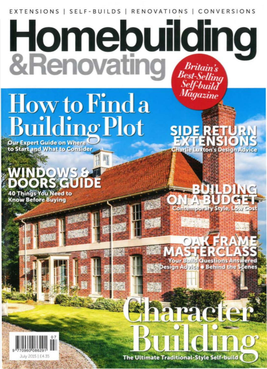EXTENSIONS | SELF-BUILDS | RENOVATIONS | CONVERSIONS

## **Homebuilding**<br>&Renovating Best-Selling<br>Self-build<br>Magazine

# How to Find a<br>Building Plot

**Our Expert Guide on Where** to Start and What to Consider

**40 Things You Need to** 

**Know Before Buying** 

**Charlie Luxton's Design Advice** 

ur Build Questi Design Advice . Behin

aracte



**The Ultimate Traditional-Style Self-build**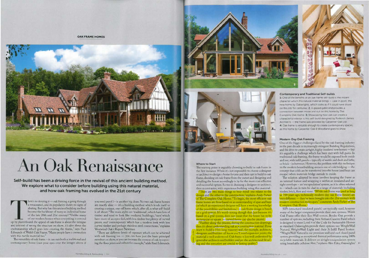**OAK FRAME HOMES** 



### An Oak Renaissance

Self-build has been a driving force in the revival of this ancient building method. We explore what to consider before building using this natural material, and how oak framing has evolved in the 21st century

here's no denying it - oak framing is going through a renaissance, and its popularity shows no signs of abating. But why has this ancient building method become the backbone of many an individual home of the late 20th and 21st century? "Unlike many of our modern homes where everything is covered up by plasterboard, the appeal of oak frame is about the intrigue. and interest of seeing the structure on show; it's also about the craftsmanship which goes into creating the frame," says Paul Edmunds of Welsh Oak Frame. "Many people have a connection with this tactile material too."

The versatility of oak frame - it can suit both a traditional and contemporary home (cast your eyes over the images above if

you need proof) - is another big draw. No two oak frame homes are exactly alike - it's a building method which lends itself to creating a unique, one-off home which, after all, is what self-build is all about. "The main styles are 'traditional', which have lots of timber and tend to look like medieval buildings, 'barn' which have more of an open feel, with less timber but plenty of curved pieces, and 'contemporary' which has a modern look with less curved timber and perhaps stainless steel connections," explains Westwind Oak's Rupert Newman.

"There are different levels of exposure which can be achieved with oak framing too - you can have just the basic principal members on show, or you can increase the content of oak by exposing the floor joists and rafters for example," adds Paul Edmunds.





### Where to Start

The starting point is arguably choosing to build in oak frame in the first instance. While it's not impossible to choose a designer or architect to design a home for you and then opt to build in oak frame, deciding on oak frame from the outset and designing and detailing the house accordingly is by far the more cost-effective and successful option. So too is choosing a designer or architect, then a contractor, with experience building using this material.

There are two main things to bear mind: one relates to the design and the other to the construction," explains Andy Parker of The Complete Oak Home. "To begin, the most efficient oak frame homes are those based on an understanding of span and bays (of which an experienced designer will have a working knowledge of the possibilities and limitations) + oak frame design is based on a grid system. It's worth noting though that fust because it's based on a grid system, does not mean that the house has to be rectangular or square - curved forms can also be created.

Turther along the process, during the construction drawings,<br>then it's about understanding oak as a construction material. If you<br>want to build a 15m-long masonry wall, for example, architects, designers and builders all know you'll need expansion joints; the material is well understood. Oak frame is less well understood by generalist architects and builders and yet the architectural detailng and the execution are crucial to lasting quality."

**Contemporary and Traditional Self-builds** 1: One of the benefits of an oak frame self-build is the instant character which this natural material brings - case in point. this new home by Qakwiights, which looks as if it could have stood on this site for centuries: 2: A glazed gable end provides a connection between inside and out on this home by The Complete Oak Home: 3: Showcasing how oak can create a characterful interior is this self-build designed by Rodenck James Architects -- the frame was provided by Carpenter Oak Ltd. 4: Dak frame is versatile enough to create contemporary spaces. as this home by Carpenter Oak & Woodland goes to show

modern construction techniques," comments Andy Parker of The Complete Oak Home. SIPs (structural insulated panels) are typically used, however many of the larger companies provide their own systems. Welsh Oak Frame offer their Eco Wall system; Border Oak provide a number of options, including their Artisan Cassette Panel which is designed to meet Level 4 of the Code for Sustainable Homes as standard. Oakwrights provide three options too: WrightWall Natural, WrightWall Light and their 3i Infill Panel System. "WrightWall Natural is our premium wall and roof closed panel system, providing an exceptional thermal performance using 100% recyclable materials. It delivers an airtight encapsulation system using breathable cellulose fibre," explains Alex Edey, Oakwrights' >>

### Modern-Day Oak Framing

One of the biggest challenges faced by the oak framing industry in the past decade is increasingly stringent Building Regulations, and the drive to create airtight, highly insulated new homes-but it's arguably a challenge which has been met with full gusto. In traditional oak framing, the frame would be exposed both inside and out, with infill panels - typically of wattle and daub and lathe, or brick - in between. However, the problem with this technique in the modern housebuilding arena is one of cold bridging - the concept that cold can be transferred into the house (and heat can escape) when materials bridge outside to inside

The solution adopted by most involves keeping the frame as an internal feature and wrapping it within an insulated and airtight envelope - an 'encapsulation' system, as it is often referred to - which can in turn be clad in a range of materials including timber, brick, flint and stone. "While oak frame was used as long as 700 years ago, technically modern-day oak frame houses are very different - they've been brought into the 21st century with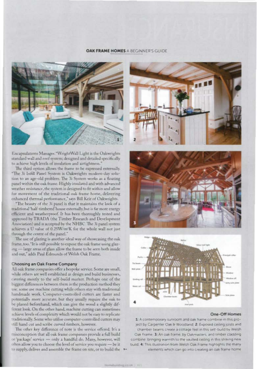### OAK FRAME HOMES A BEGINNER'S GUIDE



Encapsulations Manager. "WrightWall Light is the Oakwrights standard wall and roof system; designed and detailed specifically to achieve high levels of insulation and airtightness."

The third option allows the frame to be expressed externally. "The 3i Infill Panel System is Oakwrights modern-day solution to an age-old problem. The 3i System works as a floating panel within the oak frame. Highly insulated and with advanced weather resistance, the system is designed to fit within and allow for movement of the traditional oak frame home, delivering enhanced thermal performance," says Bill Keir of Oakwrights.

"The beauty of the 3i panel is that it maintains the look of a traditional 'half-timbered' house externally, but is far more energy efficient and weatherproof. It has been thoroughly tested and approved by TRADA (the Timber Research and Development Association) and is accepted by the NHBC. The 3i panel system achieves a U value of 0.25W/m<sup>2</sup>K for the whole wall not just through the centre of the panel."

The use of glazing is another ideal way of showcasing the oak frame, too. "It is still possible to expose the oak frame using glazing - large areas of glass allow the frame to be seen both inside and out," adds Paul Edmunds of Welsh Oak Frame.

### Choosing an Oak Frame Company

All oak frame companies offer a bespoke service. Some are small, while others are well established as design and build businesses, catering mostly to the self-build market. Perhaps one of the biggest differences between them is the production method they use: some use machine cutting while others stay with traditional handmade work. Computer-controlled cutters are faster and potentially more accurate, but they usually require the oak to be planed beforehand, which can give the wood a slightly different look. On the other hand, machine cutting can sometimes achieve levels of complexity which would not be easy to replicate traditionally. Some who utilise computer-controlled cutters may still hand cut and scribe curved timbers, however.

The other key difference of note is the service offered. It's a misconception that all oak frame companies provide a full build or 'package' service - only a handful do. Many, however, will often allow you to choose the level of service you require - be it to supply, deliver and assemble the frame on site, or to build the







### One-Off Homes

1: A contemporary surroom and oak frame combine in this project by Carpenter Oak & Woodland, 2: Exposed ceiling joists and chamber beams create a cottage feel in this self-build by Welsh Oak Frame; 3: An oak frame, by Oakmasters, and timber cladding combine, bringing warmth to the vaulted ceiling in this striking new build, 4: This illustration from Welsh Oak Frame highlights the many elements which can go into creating an oak frame home